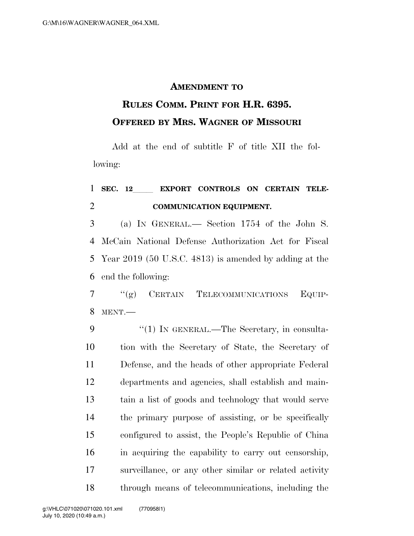## **AMENDMENT TO**

## **RULES COMM. PRINT FOR H.R. 6395. OFFERED BY MRS. WAGNER OF MISSOURI**

Add at the end of subtitle F of title XII the following:

## 1 SEC. 12 EXPORT CONTROLS ON CERTAIN TELE-**COMMUNICATION EQUIPMENT.**

 (a) IN GENERAL.— Section 1754 of the John S. McCain National Defense Authorization Act for Fiscal Year 2019 (50 U.S.C. 4813) is amended by adding at the end the following:

 ''(g) CERTAIN TELECOMMUNICATIONS EQUIP-MENT.—

9 "(1) IN GENERAL.—The Secretary, in consulta- tion with the Secretary of State, the Secretary of Defense, and the heads of other appropriate Federal departments and agencies, shall establish and main- tain a list of goods and technology that would serve the primary purpose of assisting, or be specifically configured to assist, the People's Republic of China in acquiring the capability to carry out censorship, surveillance, or any other similar or related activity through means of telecommunications, including the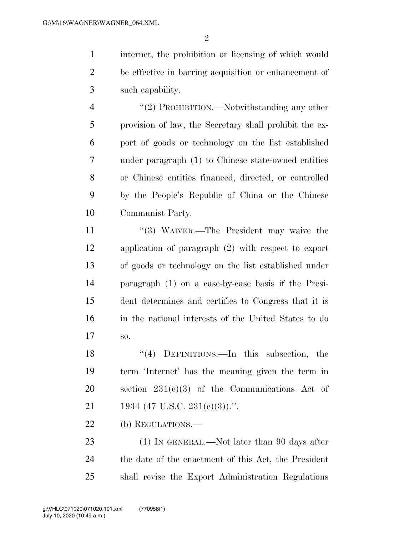internet, the prohibition or licensing of which would be effective in barring acquisition or enhancement of such capability.

4 "(2) PROHIBITION.—Notwithstanding any other provision of law, the Secretary shall prohibit the ex- port of goods or technology on the list established under paragraph (1) to Chinese state-owned entities or Chinese entities financed, directed, or controlled by the People's Republic of China or the Chinese Communist Party.

11 ''(3) WAIVER.—The President may waive the application of paragraph (2) with respect to export of goods or technology on the list established under paragraph (1) on a case-by-case basis if the Presi- dent determines and certifies to Congress that it is in the national interests of the United States to do so.

 ''(4) DEFINITIONS.—In this subsection, the term 'Internet' has the meaning given the term in section 231(e)(3) of the Communications Act of 21 1934 (47 U.S.C. 231(e)(3)).".

(b) REGULATIONS.—

23 (1) IN GENERAL.—Not later than 90 days after the date of the enactment of this Act, the President shall revise the Export Administration Regulations